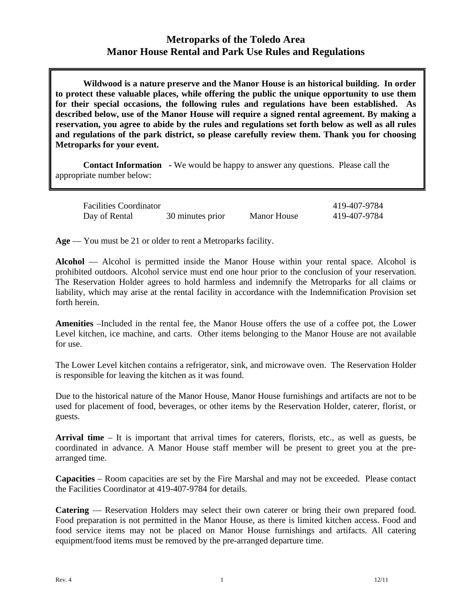## **Metroparks of the Toledo Area Manor House Rental and Park Use Rules and Regulations**

**Wildwood is a nature preserve and the Manor House is an historical building. In order to protect these valuable places, while offering the public the unique opportunity to use them for their special occasions, the following rules and regulations have been established. As described below, use of the Manor House will require a signed rental agreement. By making a reservation, you agree to abide by the rules and regulations set forth below as well as all rules and regulations of the park district, so please carefully review them. Thank you for choosing Metroparks for your event.** 

**Contact Information -** We would be happy to answer any questions. Please call the appropriate number below:

| <b>Facilities Coordinator</b> |                  |                    | 419-407-9784 |
|-------------------------------|------------------|--------------------|--------------|
| Day of Rental                 | 30 minutes prior | <b>Manor House</b> | 419-407-9784 |

**Age** — You must be 21 or older to rent a Metroparks facility.

**Alcohol** — Alcohol is permitted inside the Manor House within your rental space. Alcohol is prohibited outdoors. Alcohol service must end one hour prior to the conclusion of your reservation. The Reservation Holder agrees to hold harmless and indemnify the Metroparks for all claims or liability, which may arise at the rental facility in accordance with the Indemnification Provision set forth herein.

**Amenities** –Included in the rental fee, the Manor House offers the use of a coffee pot, the Lower Level kitchen, ice machine, and carts. Other items belonging to the Manor House are not available for use.

The Lower Level kitchen contains a refrigerator, sink, and microwave oven. The Reservation Holder is responsible for leaving the kitchen as it was found.

Due to the historical nature of the Manor House, Manor House furnishings and artifacts are not to be used for placement of food, beverages, or other items by the Reservation Holder, caterer, florist, or guests.

**Arrival time** – It is important that arrival times for caterers, florists, etc., as well as guests, be coordinated in advance. A Manor House staff member will be present to greet you at the prearranged time.

**Capacities** – Room capacities are set by the Fire Marshal and may not be exceeded. Please contact the Facilities Coordinator at 419-407-9784 for details.

**Catering** — Reservation Holders may select their own caterer or bring their own prepared food. Food preparation is not permitted in the Manor House, as there is limited kitchen access. Food and food service items may not be placed on Manor House furnishings and artifacts. All catering equipment/food items must be removed by the pre-arranged departure time.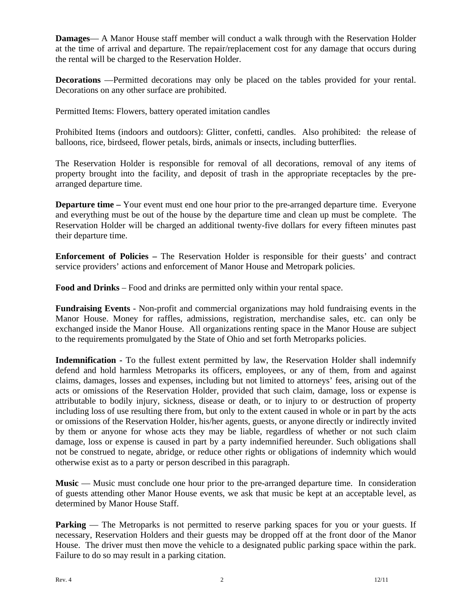**Damages—** A Manor House staff member will conduct a walk through with the Reservation Holder at the time of arrival and departure. The repair/replacement cost for any damage that occurs during the rental will be charged to the Reservation Holder.

**Decorations** —Permitted decorations may only be placed on the tables provided for your rental. Decorations on any other surface are prohibited.

Permitted Items: Flowers, battery operated imitation candles

Prohibited Items (indoors and outdoors): Glitter, confetti, candles. Also prohibited: the release of balloons, rice, birdseed, flower petals, birds, animals or insects, including butterflies.

The Reservation Holder is responsible for removal of all decorations, removal of any items of property brought into the facility, and deposit of trash in the appropriate receptacles by the prearranged departure time.

**Departure time –** Your event must end one hour prior to the pre-arranged departure time. Everyone and everything must be out of the house by the departure time and clean up must be complete. The Reservation Holder will be charged an additional twenty-five dollars for every fifteen minutes past their departure time.

**Enforcement of Policies –** The Reservation Holder is responsible for their guests' and contract service providers' actions and enforcement of Manor House and Metropark policies.

**Food and Drinks** – Food and drinks are permitted only within your rental space.

**Fundraising Events** - Non-profit and commercial organizations may hold fundraising events in the Manor House. Money for raffles, admissions, registration, merchandise sales, etc. can only be exchanged inside the Manor House. All organizations renting space in the Manor House are subject to the requirements promulgated by the State of Ohio and set forth Metroparks policies.

**Indemnification -** To the fullest extent permitted by law, the Reservation Holder shall indemnify defend and hold harmless Metroparks its officers, employees, or any of them, from and against claims, damages, losses and expenses, including but not limited to attorneys' fees, arising out of the acts or omissions of the Reservation Holder, provided that such claim, damage, loss or expense is attributable to bodily injury, sickness, disease or death, or to injury to or destruction of property including loss of use resulting there from, but only to the extent caused in whole or in part by the acts or omissions of the Reservation Holder, his/her agents, guests, or anyone directly or indirectly invited by them or anyone for whose acts they may be liable, regardless of whether or not such claim damage, loss or expense is caused in part by a party indemnified hereunder. Such obligations shall not be construed to negate, abridge, or reduce other rights or obligations of indemnity which would otherwise exist as to a party or person described in this paragraph.

Music — Music must conclude one hour prior to the pre-arranged departure time. In consideration of guests attending other Manor House events, we ask that music be kept at an acceptable level, as determined by Manor House Staff.

**Parking** — The Metroparks is not permitted to reserve parking spaces for you or your guests. If necessary, Reservation Holders and their guests may be dropped off at the front door of the Manor House. The driver must then move the vehicle to a designated public parking space within the park. Failure to do so may result in a parking citation.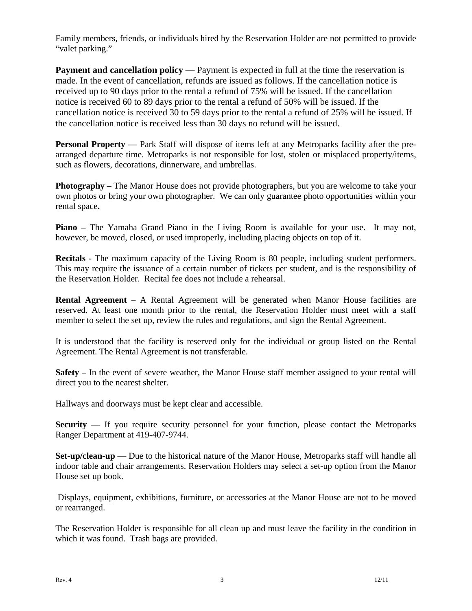Family members, friends, or individuals hired by the Reservation Holder are not permitted to provide "valet parking."

**Payment and cancellation policy** — Payment is expected in full at the time the reservation is made. In the event of cancellation, refunds are issued as follows. If the cancellation notice is received up to 90 days prior to the rental a refund of 75% will be issued. If the cancellation notice is received 60 to 89 days prior to the rental a refund of 50% will be issued. If the cancellation notice is received 30 to 59 days prior to the rental a refund of 25% will be issued. If the cancellation notice is received less than 30 days no refund will be issued.

**Personal Property** — Park Staff will dispose of items left at any Metroparks facility after the prearranged departure time. Metroparks is not responsible for lost, stolen or misplaced property/items, such as flowers, decorations, dinnerware, and umbrellas.

**Photography –** The Manor House does not provide photographers, but you are welcome to take your own photos or bring your own photographer. We can only guarantee photo opportunities within your rental space**.**

**Piano –** The Yamaha Grand Piano in the Living Room is available for your use. It may not, however, be moved, closed, or used improperly, including placing objects on top of it.

**Recitals -** The maximum capacity of the Living Room is 80 people, including student performers. This may require the issuance of a certain number of tickets per student, and is the responsibility of the Reservation Holder. Recital fee does not include a rehearsal.

**Rental Agreement** – A Rental Agreement will be generated when Manor House facilities are reserved. At least one month prior to the rental, the Reservation Holder must meet with a staff member to select the set up, review the rules and regulations, and sign the Rental Agreement.

It is understood that the facility is reserved only for the individual or group listed on the Rental Agreement. The Rental Agreement is not transferable.

**Safety –** In the event of severe weather, the Manor House staff member assigned to your rental will direct you to the nearest shelter.

Hallways and doorways must be kept clear and accessible.

**Security** — If you require security personnel for your function, please contact the Metroparks Ranger Department at 419-407-9744.

**Set-up/clean-up** — Due to the historical nature of the Manor House, Metroparks staff will handle all indoor table and chair arrangements. Reservation Holders may select a set-up option from the Manor House set up book.

 Displays, equipment, exhibitions, furniture, or accessories at the Manor House are not to be moved or rearranged.

The Reservation Holder is responsible for all clean up and must leave the facility in the condition in which it was found. Trash bags are provided.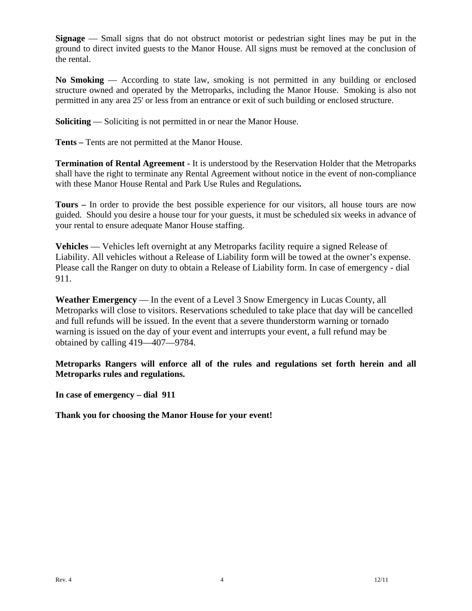**Signage** — Small signs that do not obstruct motorist or pedestrian sight lines may be put in the ground to direct invited guests to the Manor House. All signs must be removed at the conclusion of the rental.

**No Smoking** — According to state law, smoking is not permitted in any building or enclosed structure owned and operated by the Metroparks, including the Manor House. Smoking is also not permitted in any area 25' or less from an entrance or exit of such building or enclosed structure.

**Soliciting** — Soliciting is not permitted in or near the Manor House.

**Tents –** Tents are not permitted at the Manor House.

**Termination of Rental Agreement -** It is understood by the Reservation Holder that the Metroparks shall have the right to terminate any Rental Agreement without notice in the event of non-compliance with these Manor House Rental and Park Use Rules and Regulations**.** 

**Tours –** In order to provide the best possible experience for our visitors, all house tours are now guided. Should you desire a house tour for your guests, it must be scheduled six weeks in advance of your rental to ensure adequate Manor House staffing.

**Vehicles** — Vehicles left overnight at any Metroparks facility require a signed Release of Liability. All vehicles without a Release of Liability form will be towed at the owner's expense. Please call the Ranger on duty to obtain a Release of Liability form. In case of emergency - dial 911.

**Weather Emergency** — In the event of a Level 3 Snow Emergency in Lucas County, all Metroparks will close to visitors. Reservations scheduled to take place that day will be cancelled and full refunds will be issued. In the event that a severe thunderstorm warning or tornado warning is issued on the day of your event and interrupts your event, a full refund may be obtained by calling 419—407—9784.

**Metroparks Rangers will enforce all of the rules and regulations set forth herein and all Metroparks rules and regulations.** 

**In case of emergency – dial 911** 

**Thank you for choosing the Manor House for your event!**